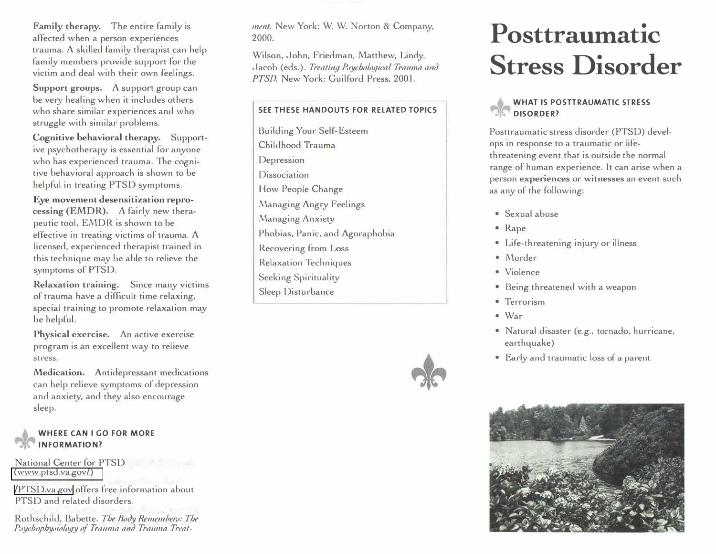Family therapy. The entire family is affected when a person experiences trauma. A skilled family therapist can help family members provide support for the victim and deal with their own feelings.

**Support groups. A** support group can be very healing when it includes others who share similar experiences and who struggle with similar problems.

**Cognitive behavioral therapy.** Supportive psychotherapy is essential for anyone who has experienced trauma. The cognitive behavioral approach is shown to be helpful in treating PTSD symptoms.

**Eye movement desensitization reprocessing (EMDR). A** fairly new therapeutic tool, EMDR is shown to be effective in treating victims of trauma. A licensed, experienced therapist trained in this technique may be able to relieve the symptoms of' PTSD.

**Relaxation training.** Since many victims of trauma have a difficult time relaxing, special training to promote relaxation may be helpful.

**Physical exercise.** An active exercise program is an excellent way to relieve stress.

**Medication.** Antidepressant medications can help relieve symptoms of depression and anxiety, and they also encourage sleep.

#### **WHERE CAN I GO FOR MORE INFORMATION?**

National Center for PTSD [\(www.ptsd.va.gov/\)](https://www.ptsd.va.gov/)

/PTSD.va.gov offers free information about PTSD and related disorders.

Rothschild, Babette. The Body Remembers: The Paychophysiology of Trauma and Trauma Treatment. New York: W. W. Norton & Company, 2000.

Wilson, John, Friedman, Matthew, Lindy, Jacob (eds.). Treating Psychological Trauma and *PTSD.* New York: Guilford Press, 2001.

#### **SEE THESE HANDOUTS FOR RELATED TOPICS**

Building Your Self-Esteem Childhood Trauma Depression **Dissociation** How People Change Managing Angry Feelings Managing Anxiety Phobias, Panic, and Agoraphobia Recovering from Loss Relaxation Techniques Seeking Spirituality Sleep Disturbance



# Posttraumatic **Stress Disorder**

#### **WHAT IS POSTTRAUMATIC STRESS DISORDER?**

Posttraumatic stress disorder (PTSD) develops in response to a traumatic or lifethreatening event that is outside the normal range of human experience. It can arise when a person **experiences** or **witnesses** an event such as any of the following:

- Sexual abuse
- Rape
- Life-threatening injury or illness
- Murder
- Violence
- Being threatened with a weapon
- Terrorism
- War
- Natural disaster (e.g., tornado, hurricane, earthquake)
- Early and traumatic loss of a parent